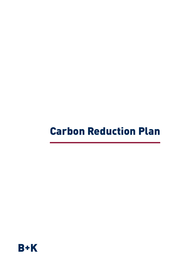## Carbon Reduction Plan

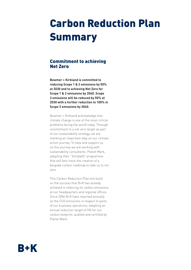## Carbon Reduction Plan Summary

### Commitment to achieving Net Zero

**Bowmer + Kirkland is committed to reducing Scope 1 & 2 emissions by 50% at 2030 and to achieving Net Zero for Scope 1 & 2 emissions by 2040. Scope 3 emissions will be reduced by 50% at 2030 with a further reduction to 100% in Scope 3 emissions by 2040.**

Bowmer + Kirkland acknowledge that climate change is one of the most critical problems facing the world today. Through commitment to a net zero target as part of our sustainability strategy, we are marking an important step on our climate action journey. To help and support us on this journey we are working with sustainability consultants, Planet Mark, adopting their "Zeroby40" programme that will fast-track the creation of a bespoke carbon roadmap to take us to net zero.

This Carbon Reduction Plan will build on the success that B+K has already achieved in reducing its carbon emissions at our headquarters and regional offices. Since 2006 B+K have reported annually on the CO2 emissions in respect to parts of our business operations, adopting an annual reduction target of 5% for our carbon footprint, audited and certified by Planet Mark.

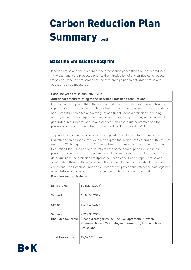### Baseline Emissions Footprint

Baseline emissions are a record of the greenhouse gases that have been produced in the past and were produced prior to the introduction of any strategies to reduce emissions. Baseline emissions are the reference point against which emissions reduction can be measured.

### **Baseline year emissions: 2020-2021 Additional details relating to the Baseline Emissions calculations:**

For our baseline year, 2020-2021 we have extended the categories on which we will report our carbon emissions. This includes the carbon emissions in our operations at our construction sites and a range of additional Scope 3 emissions including employee commuting, upstream and downstream transportation, water and waste generated in our operations, in accordance with best industry practice and the provisions of Government's Procurement Policy Notice (PPN) 06/21.

To provide a baseline year as a reference point against which future emissions reductions can be measured, we have adopted the period 1st September 2020 to 31st August 2021; being less than 12 months from the commencement of our Carbon Reduction Plan. This period also reflects the same annual periods used in our previous carbon footprints to aid analysis of carbon savings against our historical data. Our baseline emissions footprint includes Scope 1 and Scope 2 emissions as identified through the Greenhouse Gas Protocol along with a subset of Scope 3 emissions. The Baseline Emissions Footprint will provide the reference point against which future assessments and emissions reductions will be measured.

| <b>EMISSIONS</b>              | TOTAL (tCO2e)                                                                                                                                   |
|-------------------------------|-------------------------------------------------------------------------------------------------------------------------------------------------|
| Scope 1                       | 6,180.5 tCO2e                                                                                                                                   |
| Scope 2                       | 1,618.6 tCO2e                                                                                                                                   |
| Scope 3<br>(includes Sources) | 9,723.9 tCO2e<br>(Scope 3 categories include - 4: Upstream, 5: Waste, 6:<br>Business Travel, 7: Employee Commuting, 9: Downstream<br>Emissionsl |
| <b>Total Emissions</b>        | 17,522.9 tCO2e                                                                                                                                  |

#### Baseline year emissions:

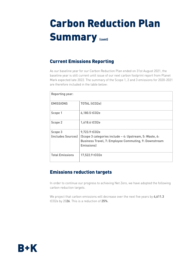### Current Emissions Reporting

As our baseline year for our Carbon Reduction Plan ended on 31st August 2021, the baseline year is still current until issue of our next carbon footprint report from Planet Mark expected late 2022. The summary of the Scope 1, 2 and 3 emissions for 2020-2021 are therefore included in the table below:

| Reporting year:               |                                                                                                                                   |
|-------------------------------|-----------------------------------------------------------------------------------------------------------------------------------|
| <b>EMISSIONS</b>              | TOTAL (tCO2e)                                                                                                                     |
| Scope 1                       | 6,180.5 tCO2e                                                                                                                     |
| Scope 2                       | 1,618.6 tCO2e                                                                                                                     |
| Scope 3<br>(includes Sources) | 9,723.9 tCO2e<br>(Scope 3 categories include - 4: Upstream, 5: Waste, 6:<br>Business Travel, 7: Employee Commuting, 9: Downstream |
|                               | Emissions)                                                                                                                        |
| <b>Total Emissions</b>        | 17,522.9 tCO2e                                                                                                                    |

## Emissions reduction targets

In order to continue our progress to achieving Net Zero, we have adopted the following carbon reduction targets.

We project that carbon emissions will decrease over the next five years by 4,611.3 tCO2e by 2026. This is a reduction of 25%.

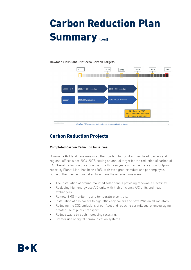# Carbon Reduction Plan **Summary (CONT)**

#### Bowmer + Kirkland: Net Zero Carbon Targets



#### \*Baseline TBC once 2021 data collected, to assess Covid-19 impact

## Carbon Reduction Projects

#### **Completed Carbon Reduction Initiatives:**

Bowmer + Kirkland have measured their carbon footprint at their headquarters and regional offices since 2006-2007, setting an annual target for the reduction of carbon of 5%. Overall reduction of carbon over the thirteen years since the first carbon footprint report by Planet Mark has been >60%, with even greater reductions per employee. Some of the main actions taken to achieve these reductions were:

- The installation of ground mounted solar panels providing renewable electricity,
- Replacing high energy use A/C units with high efficiency A/C units and heat exchangers.
- Remote BMS monitoring and temperature controls,
- Installation of gas boilers to high efficiency boilers and new TVRs on all radiators,
- Reducing the CO2 emissions of our fleet and reducing car mileage by encouraging greater use of public transport.
- Reduce waste through increasing recycling.
- Greater use of digital communication systems.

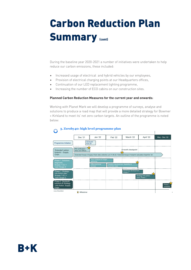During the baseline year 2020-2021 a number of initiatives were undertaken to help reduce our carbon emissions, these included:

- Increased usage of electrical and hybrid vehicles by our employees,
- Provision of electrical charging points at our Headquarters offices,
- Continuation of our LED replacement lighting programme,
- Increasing the number of ECO cabins on our construction sites.

#### **Planned Carbon Reduction Measures for the current year and onwards:**

Working with Planet Mark we will develop a programme of surveys, analyse and solutions to produce a road map that will provide a more detailed strategy for Bowmer + Kirkland to meet its' net zero carbon targets. An outline of the programme is noted below:



### **3. Zeroby40: high level programme plan**